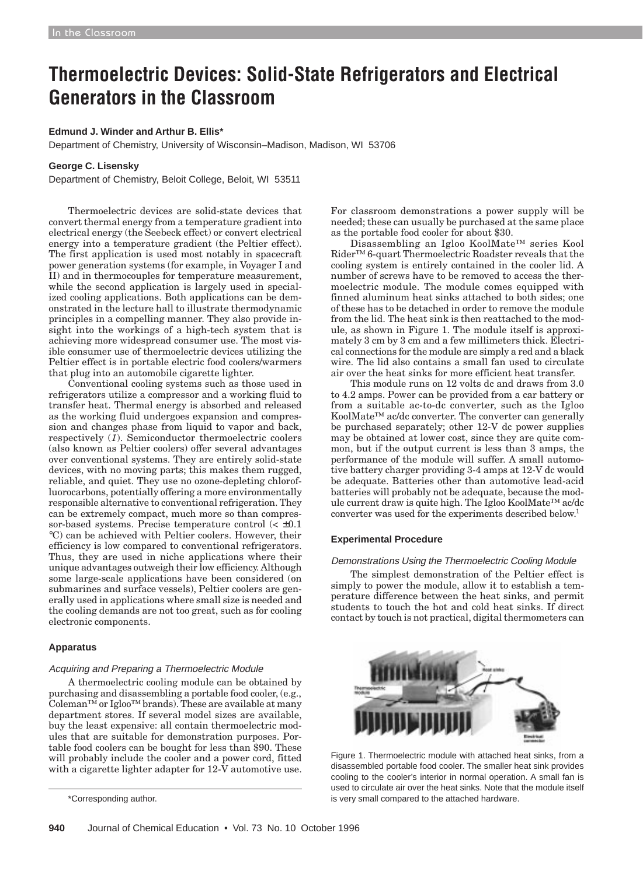# **Thermoelectric Devices: Solid-State Refrigerators and Electrical Generators in the Classroom**

# **Edmund J. Winder and Arthur B. Ellis\***

Department of Chemistry, University of Wisconsin–Madison, Madison, WI 53706

# **George C. Lisensky**

Department of Chemistry, Beloit College, Beloit, WI 53511

Thermoelectric devices are solid-state devices that convert thermal energy from a temperature gradient into electrical energy (the Seebeck effect) or convert electrical energy into a temperature gradient (the Peltier effect). The first application is used most notably in spacecraft power generation systems (for example, in Voyager I and II) and in thermocouples for temperature measurement, while the second application is largely used in specialized cooling applications. Both applications can be demonstrated in the lecture hall to illustrate thermodynamic principles in a compelling manner. They also provide insight into the workings of a high-tech system that is achieving more widespread consumer use. The most visible consumer use of thermoelectric devices utilizing the Peltier effect is in portable electric food coolers/warmers that plug into an automobile cigarette lighter.

Conventional cooling systems such as those used in refrigerators utilize a compressor and a working fluid to transfer heat. Thermal energy is absorbed and released as the working fluid undergoes expansion and compression and changes phase from liquid to vapor and back, respectively (*1*). Semiconductor thermoelectric coolers (also known as Peltier coolers) offer several advantages over conventional systems. They are entirely solid-state devices, with no moving parts; this makes them rugged, reliable, and quiet. They use no ozone-depleting chlorofluorocarbons, potentially offering a more environmentally responsible alternative to conventional refrigeration. They can be extremely compact, much more so than compressor-based systems. Precise temperature control  $\langle < \pm 0.1 \rangle$ °C) can be achieved with Peltier coolers. However, their efficiency is low compared to conventional refrigerators. Thus, they are used in niche applications where their unique advantages outweigh their low efficiency. Although some large-scale applications have been considered (on submarines and surface vessels), Peltier coolers are generally used in applications where small size is needed and the cooling demands are not too great, such as for cooling electronic components.

# **Apparatus**

### Acquiring and Preparing a Thermoelectric Module

A thermoelectric cooling module can be obtained by purchasing and disassembling a portable food cooler, (e.g., Coleman™ or Igloo™ brands). These are available at many department stores. If several model sizes are available, buy the least expensive: all contain thermoelectric modules that are suitable for demonstration purposes. Portable food coolers can be bought for less than \$90. These will probably include the cooler and a power cord, fitted with a cigarette lighter adapter for 12-V automotive use.

For classroom demonstrations a power supply will be needed; these can usually be purchased at the same place as the portable food cooler for about \$30.

Disassembling an Igloo KoolMate™ series Kool Rider™ 6-quart Thermoelectric Roadster reveals that the cooling system is entirely contained in the cooler lid. A number of screws have to be removed to access the thermoelectric module. The module comes equipped with finned aluminum heat sinks attached to both sides; one of these has to be detached in order to remove the module from the lid. The heat sink is then reattached to the module, as shown in Figure 1. The module itself is approximately 3 cm by 3 cm and a few millimeters thick. Electrical connections for the module are simply a red and a black wire. The lid also contains a small fan used to circulate air over the heat sinks for more efficient heat transfer.

This module runs on 12 volts dc and draws from 3.0 to 4.2 amps. Power can be provided from a car battery or from a suitable ac-to-dc converter, such as the Igloo KoolMate™ ac/dc converter. The converter can generally be purchased separately; other 12-V dc power supplies may be obtained at lower cost, since they are quite common, but if the output current is less than 3 amps, the performance of the module will suffer. A small automotive battery charger providing 3-4 amps at 12-V dc would be adequate. Batteries other than automotive lead-acid batteries will probably not be adequate, because the module current draw is quite high. The Igloo KoolMate™ ac/dc converter was used for the experiments described below.1

## **Experimental Procedure**

### Demonstrations Using the Thermoelectric Cooling Module

The simplest demonstration of the Peltier effect is simply to power the module, allow it to establish a temperature difference between the heat sinks, and permit students to touch the hot and cold heat sinks. If direct contact by touch is not practical, digital thermometers can



Figure 1. Thermoelectric module with attached heat sinks, from a disassembled portable food cooler. The smaller heat sink provides cooling to the cooler's interior in normal operation. A small fan is used to circulate air over the heat sinks. Note that the module itself is very small compared to the attached hardware.

<sup>\*</sup>Corresponding author.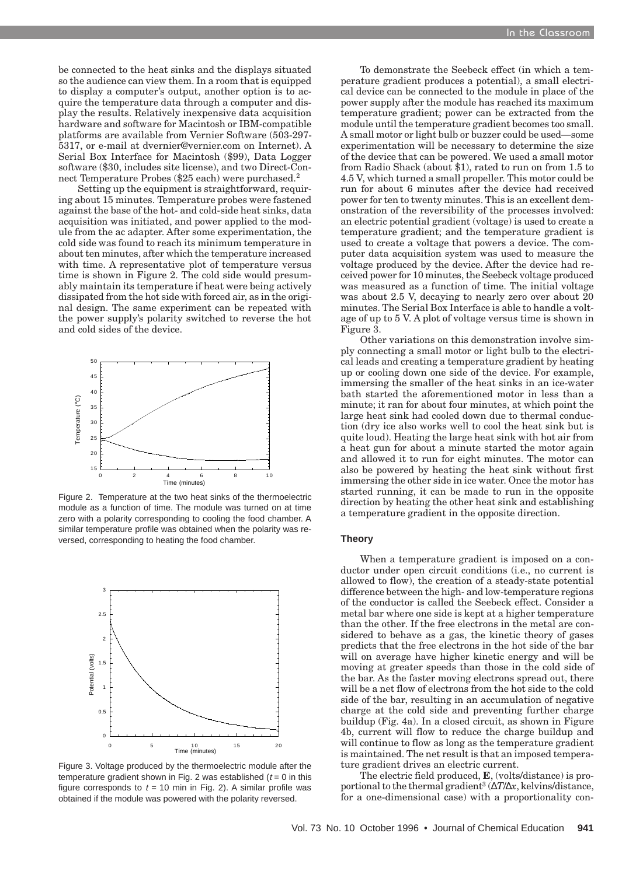be connected to the heat sinks and the displays situated so the audience can view them. In a room that is equipped to display a computer's output, another option is to acquire the temperature data through a computer and display the results. Relatively inexpensive data acquisition hardware and software for Macintosh or IBM-compatible platforms are available from Vernier Software (503-297- 5317, or e-mail at dvernier@vernier.com on Internet). A Serial Box Interface for Macintosh (\$99), Data Logger software (\$30, includes site license), and two Direct-Connect Temperature Probes (\$25 each) were purchased.2

Setting up the equipment is straightforward, requiring about 15 minutes. Temperature probes were fastened against the base of the hot- and cold-side heat sinks, data acquisition was initiated, and power applied to the module from the ac adapter. After some experimentation, the cold side was found to reach its minimum temperature in about ten minutes, after which the temperature increased with time. A representative plot of temperature versus time is shown in Figure 2. The cold side would presumably maintain its temperature if heat were being actively dissipated from the hot side with forced air, as in the original design. The same experiment can be repeated with the power supply's polarity switched to reverse the hot and cold sides of the device.



Figure 2. Temperature at the two heat sinks of the thermoelectric module as a function of time. The module was turned on at time zero with a polarity corresponding to cooling the food chamber. A similar temperature profile was obtained when the polarity was reversed, corresponding to heating the food chamber.



Figure 3. Voltage produced by the thermoelectric module after the temperature gradient shown in Fig. 2 was established ( $t = 0$  in this figure corresponds to  $t = 10$  min in Fig. 2). A similar profile was obtained if the module was powered with the polarity reversed.

To demonstrate the Seebeck effect (in which a temperature gradient produces a potential), a small electrical device can be connected to the module in place of the power supply after the module has reached its maximum temperature gradient; power can be extracted from the module until the temperature gradient becomes too small. A small motor or light bulb or buzzer could be used—some experimentation will be necessary to determine the size of the device that can be powered. We used a small motor from Radio Shack (about \$1), rated to run on from 1.5 to 4.5 V, which turned a small propeller. This motor could be run for about 6 minutes after the device had received power for ten to twenty minutes. This is an excellent demonstration of the reversibility of the processes involved: an electric potential gradient (voltage) is used to create a temperature gradient; and the temperature gradient is used to create a voltage that powers a device. The computer data acquisition system was used to measure the voltage produced by the device. After the device had received power for 10 minutes, the Seebeck voltage produced was measured as a function of time. The initial voltage was about 2.5 V, decaying to nearly zero over about 20 minutes. The Serial Box Interface is able to handle a voltage of up to 5 V. A plot of voltage versus time is shown in Figure 3.

Other variations on this demonstration involve simply connecting a small motor or light bulb to the electrical leads and creating a temperature gradient by heating up or cooling down one side of the device. For example, immersing the smaller of the heat sinks in an ice-water bath started the aforementioned motor in less than a minute; it ran for about four minutes, at which point the large heat sink had cooled down due to thermal conduction (dry ice also works well to cool the heat sink but is quite loud). Heating the large heat sink with hot air from a heat gun for about a minute started the motor again and allowed it to run for eight minutes. The motor can also be powered by heating the heat sink without first immersing the other side in ice water. Once the motor has started running, it can be made to run in the opposite direction by heating the other heat sink and establishing a temperature gradient in the opposite direction.

## **Theory**

When a temperature gradient is imposed on a conductor under open circuit conditions (i.e., no current is allowed to flow), the creation of a steady-state potential difference between the high- and low-temperature regions of the conductor is called the Seebeck effect. Consider a metal bar where one side is kept at a higher temperature than the other. If the free electrons in the metal are considered to behave as a gas, the kinetic theory of gases predicts that the free electrons in the hot side of the bar will on average have higher kinetic energy and will be moving at greater speeds than those in the cold side of the bar. As the faster moving electrons spread out, there will be a net flow of electrons from the hot side to the cold side of the bar, resulting in an accumulation of negative charge at the cold side and preventing further charge buildup (Fig. 4a). In a closed circuit, as shown in Figure 4b, current will flow to reduce the charge buildup and will continue to flow as long as the temperature gradient is maintained. The net result is that an imposed temperature gradient drives an electric current.

The electric field produced, **E**, (volts/distance) is proportional to the thermal gradient3 (∆*T*/∆*x*, kelvins/distance, for a one-dimensional case) with a proportionality con-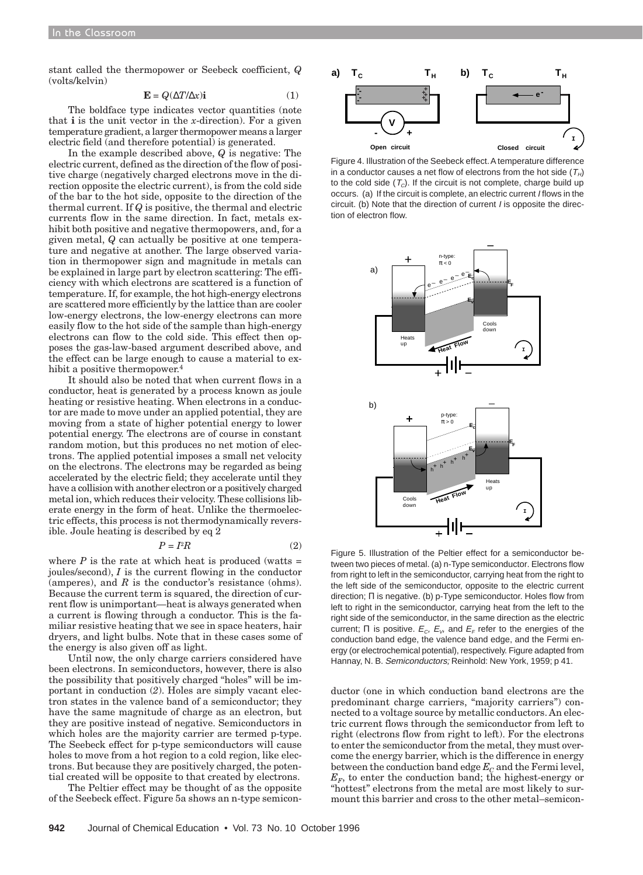stant called the thermopower or Seebeck coefficient, *Q* (volts/kelvin)

$$
\mathbf{E} = Q(\Delta T / \Delta x)\mathbf{i} \tag{1}
$$

The boldface type indicates vector quantities (note that **i** is the unit vector in the *x*-direction). For a given temperature gradient, a larger thermopower means a larger electric field (and therefore potential) is generated.

In the example described above, *Q* is negative: The electric current, defined as the direction of the flow of positive charge (negatively charged electrons move in the direction opposite the electric current), is from the cold side of the bar to the hot side, opposite to the direction of the thermal current. If *Q* is positive, the thermal and electric currents flow in the same direction. In fact, metals exhibit both positive and negative thermopowers, and, for a given metal, *Q* can actually be positive at one temperature and negative at another. The large observed variation in thermopower sign and magnitude in metals can be explained in large part by electron scattering: The efficiency with which electrons are scattered is a function of temperature. If, for example, the hot high-energy electrons are scattered more efficiently by the lattice than are cooler low-energy electrons, the low-energy electrons can more easily flow to the hot side of the sample than high-energy electrons can flow to the cold side. This effect then opposes the gas-law-based argument described above, and the effect can be large enough to cause a material to exhibit a positive thermopower.<sup>4</sup>

It should also be noted that when current flows in a conductor, heat is generated by a process known as joule heating or resistive heating. When electrons in a conductor are made to move under an applied potential, they are moving from a state of higher potential energy to lower potential energy. The electrons are of course in constant random motion, but this produces no net motion of electrons. The applied potential imposes a small net velocity on the electrons. The electrons may be regarded as being accelerated by the electric field; they accelerate until they have a collision with another electron or a positively charged metal ion, which reduces their velocity. These collisions liberate energy in the form of heat. Unlike the thermoelectric effects, this process is not thermodynamically reversible. Joule heating is described by eq 2

$$
P = I^2 R \tag{2}
$$

where  $P$  is the rate at which heat is produced (watts  $=$ joules/second), *I* is the current flowing in the conductor (amperes), and  $R$  is the conductor's resistance (ohms). Because the current term is squared, the direction of current flow is unimportant—heat is always generated when a current is flowing through a conductor. This is the familiar resistive heating that we see in space heaters, hair dryers, and light bulbs. Note that in these cases some of the energy is also given off as light.

Until now, the only charge carriers considered have been electrons. In semiconductors, however, there is also the possibility that positively charged "holes" will be important in conduction (*2*). Holes are simply vacant electron states in the valence band of a semiconductor; they have the same magnitude of charge as an electron, but they are positive instead of negative. Semiconductors in which holes are the majority carrier are termed p-type. The Seebeck effect for p-type semiconductors will cause holes to move from a hot region to a cold region, like electrons. But because they are positively charged, the potential created will be opposite to that created by electrons.

The Peltier effect may be thought of as the opposite of the Seebeck effect. Figure 5a shows an n-type semicon-



Figure 4. Illustration of the Seebeck effect. A temperature difference in a conductor causes a net flow of electrons from the hot side  $(T_H)$ to the cold side  $(T_c)$ . If the circuit is not complete, charge build up occurs. (a) If the circuit is complete, an electric current I flows in the circuit. (b) Note that the direction of current I is opposite the direction of electron flow.



Figure 5. Illustration of the Peltier effect for a semiconductor between two pieces of metal. (a) n-Type semiconductor. Electrons flow from right to left in the semiconductor, carrying heat from the right to the left side of the semiconductor, opposite to the electric current direction; Π is negative. (b) p-Type semiconductor. Holes flow from left to right in the semiconductor, carrying heat from the left to the right side of the semiconductor, in the same direction as the electric current;  $\Pi$  is positive.  $E_c$ ,  $E_v$ , and  $E_F$  refer to the energies of the conduction band edge, the valence band edge, and the Fermi energy (or electrochemical potential), respectively. Figure adapted from Hannay, N. B. Semiconductors; Reinhold: New York, 1959; p 41.

ductor (one in which conduction band electrons are the predominant charge carriers, "majority carriers") connected to a voltage source by metallic conductors. An electric current flows through the semiconductor from left to right (electrons flow from right to left). For the electrons to enter the semiconductor from the metal, they must overcome the energy barrier, which is the difference in energy between the conduction band edge  $E_C$  and the Fermi level,  $E_F$ , to enter the conduction band; the highest-energy or "hottest" electrons from the metal are most likely to surmount this barrier and cross to the other metal–semicon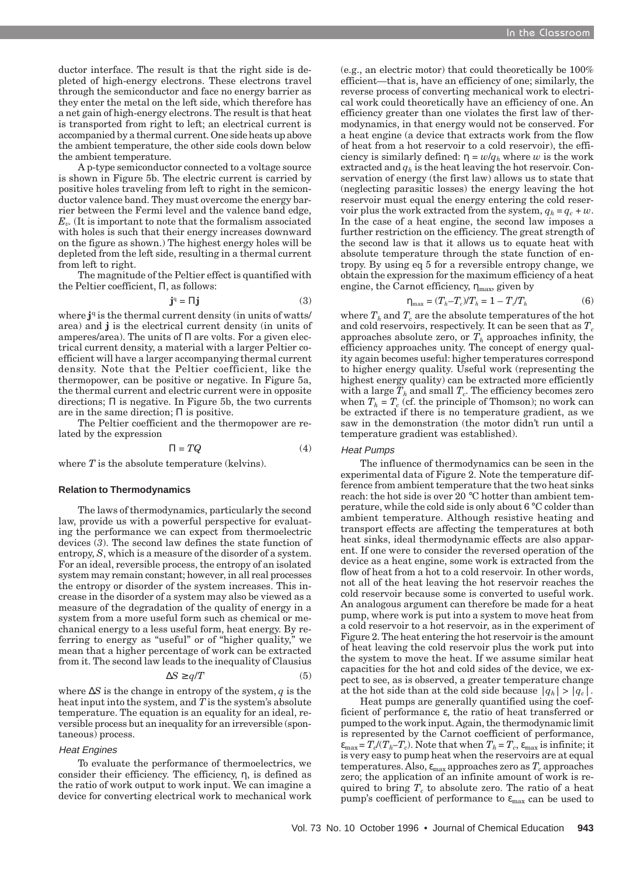ductor interface. The result is that the right side is depleted of high-energy electrons. These electrons travel through the semiconductor and face no energy barrier as they enter the metal on the left side, which therefore has a net gain of high-energy electrons. The result is that heat is transported from right to left; an electrical current is accompanied by a thermal current. One side heats up above the ambient temperature, the other side cools down below the ambient temperature.

A p-type semiconductor connected to a voltage source is shown in Figure 5b. The electric current is carried by positive holes traveling from left to right in the semiconductor valence band. They must overcome the energy barrier between the Fermi level and the valence band edge, *Ev.* (It is important to note that the formalism associated with holes is such that their energy increases downward on the figure as shown.) The highest energy holes will be depleted from the left side, resulting in a thermal current from left to right.

The magnitude of the Peltier effect is quantified with the Peltier coefficient, Π, as follows:

$$
\mathbf{j}^{\mathrm{q}} = \Pi \mathbf{j} \tag{3}
$$

where  $\mathbf{j}^q$  is the thermal current density (in units of watts/ area) and **j** is the electrical current density (in units of amperes/area). The units of Π are volts. For a given electrical current density, a material with a larger Peltier coefficient will have a larger accompanying thermal current density. Note that the Peltier coefficient, like the thermopower, can be positive or negative. In Figure 5a, the thermal current and electric current were in opposite directions; Π is negative. In Figure 5b, the two currents are in the same direction; Π is positive.

The Peltier coefficient and the thermopower are related by the expression

$$
\Pi = TQ \tag{4}
$$

where *T* is the absolute temperature (kelvins).

#### **Relation to Thermodynamics**

The laws of thermodynamics, particularly the second law, provide us with a powerful perspective for evaluating the performance we can expect from thermoelectric devices (*3*). The second law defines the state function of entropy, *S*, which is a measure of the disorder of a system. For an ideal, reversible process, the entropy of an isolated system may remain constant; however, in all real processes the entropy or disorder of the system increases. This increase in the disorder of a system may also be viewed as a measure of the degradation of the quality of energy in a system from a more useful form such as chemical or mechanical energy to a less useful form, heat energy. By referring to energy as "useful" or of "higher quality," we mean that a higher percentage of work can be extracted from it. The second law leads to the inequality of Clausius

$$
\Delta S \ge q/T \tag{5}
$$

where ∆*S* is the change in entropy of the system, *q* is the heat input into the system, and *T* is the system's absolute temperature. The equation is an equality for an ideal, reversible process but an inequality for an irreversible (spontaneous) process.

# **Heat Engines**

To evaluate the performance of thermoelectrics, we consider their efficiency. The efficiency, η, is defined as the ratio of work output to work input. We can imagine a device for converting electrical work to mechanical work (e.g., an electric motor) that could theoretically be 100% efficient—that is, have an efficiency of one; similarly, the reverse process of converting mechanical work to electrical work could theoretically have an efficiency of one. An efficiency greater than one violates the first law of thermodynamics, in that energy would not be conserved. For a heat engine (a device that extracts work from the flow of heat from a hot reservoir to a cold reservoir), the efficiency is similarly defined:  $\eta = w/q_h$  where *w* is the work extracted and  $q_h$  is the heat leaving the hot reservoir. Conservation of energy (the first law) allows us to state that (neglecting parasitic losses) the energy leaving the hot reservoir must equal the energy entering the cold reservoir plus the work extracted from the system,  $q_h = q_c + w$ . In the case of a heat engine, the second law imposes a further restriction on the efficiency. The great strength of the second law is that it allows us to equate heat with absolute temperature through the state function of entropy. By using eq 5 for a reversible entropy change, we obtain the expression for the maximum efficiency of a heat engine, the Carnot efficiency,  $\eta_{\text{max}}$ , given by

$$
\eta_{\text{max}} = (T_h - T_c)/T_h = 1 - T_c/T_h \tag{6}
$$

where  $T_h$  and  $T_c$  are the absolute temperatures of the hot and cold reservoirs, respectively. It can be seen that as  $T_c$ approaches absolute zero, or  $T_h$  approaches infinity, the efficiency approaches unity. The concept of energy quality again becomes useful: higher temperatures correspond to higher energy quality. Useful work (representing the highest energy quality) can be extracted more efficiently with a large  $T_h$  and small  $T_c$ . The efficiency becomes zero when  $T_h$  =  $T_c$  (cf. the principle of Thomson); no work can be extracted if there is no temperature gradient, as we saw in the demonstration (the motor didn't run until a temperature gradient was established).

#### Heat Pumps

The influence of thermodynamics can be seen in the experimental data of Figure 2. Note the temperature difference from ambient temperature that the two heat sinks reach: the hot side is over 20 °C hotter than ambient temperature, while the cold side is only about 6 °C colder than ambient temperature. Although resistive heating and transport effects are affecting the temperatures at both heat sinks, ideal thermodynamic effects are also apparent. If one were to consider the reversed operation of the device as a heat engine, some work is extracted from the flow of heat from a hot to a cold reservoir. In other words, not all of the heat leaving the hot reservoir reaches the cold reservoir because some is converted to useful work. An analogous argument can therefore be made for a heat pump, where work is put into a system to move heat from a cold reservoir to a hot reservoir, as in the experiment of Figure 2. The heat entering the hot reservoir is the amount of heat leaving the cold reservoir plus the work put into the system to move the heat. If we assume similar heat capacities for the hot and cold sides of the device, we expect to see, as is observed, a greater temperature change at the hot side than at the cold side because  $|q_h| > |q_c|$ .

Heat pumps are generally quantified using the coefficient of performance ε, the ratio of heat transferred or pumped to the work input. Again, the thermodynamic limit is represented by the Carnot coefficient of performance,  $\varepsilon_{\text{max}} = T_c/(T_h - T_c)$ . Note that when  $T_h = T_c$ ,  $\varepsilon_{\text{max}}$  is infinite; it is very easy to pump heat when the reservoirs are at equal temperatures. Also,  $\varepsilon_{\text{max}}$  approaches zero as  $T_c$  approaches zero; the application of an infinite amount of work is required to bring  $T_c$  to absolute zero. The ratio of a heat pump's coefficient of performance to  $\varepsilon_{\text{max}}$  can be used to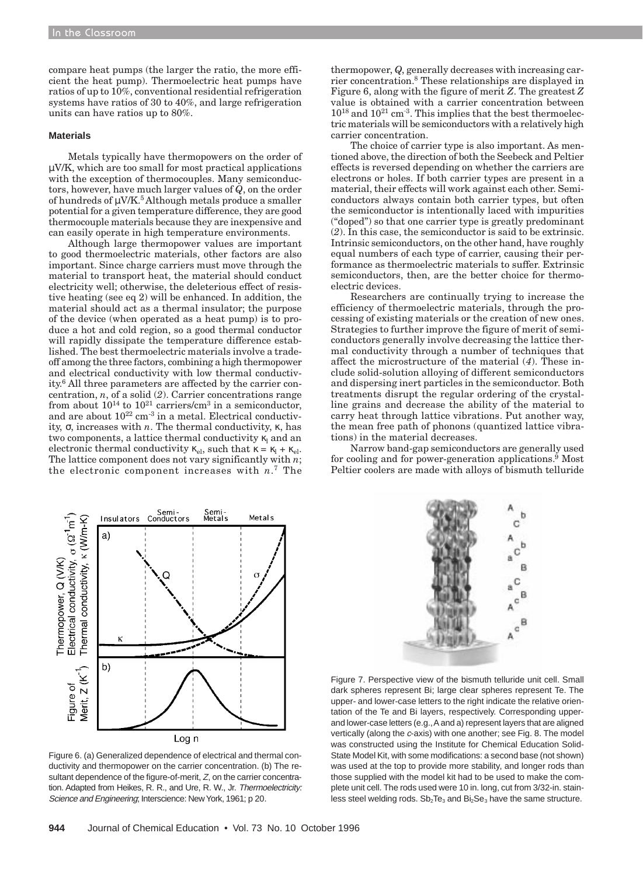compare heat pumps (the larger the ratio, the more efficient the heat pump). Thermoelectric heat pumps have ratios of up to 10%, conventional residential refrigeration systems have ratios of 30 to 40%, and large refrigeration units can have ratios up to 80%.

## **Materials**

Metals typically have thermopowers on the order of µV/K, which are too small for most practical applications with the exception of thermocouples. Many semiconductors, however, have much larger values of *Q*, on the order of hundreds of  $\mu$ V/K.<sup>5</sup> Although metals produce a smaller potential for a given temperature difference, they are good thermocouple materials because they are inexpensive and can easily operate in high temperature environments.

Although large thermopower values are important to good thermoelectric materials, other factors are also important. Since charge carriers must move through the material to transport heat, the material should conduct electricity well; otherwise, the deleterious effect of resistive heating (see eq 2) will be enhanced. In addition, the material should act as a thermal insulator; the purpose of the device (when operated as a heat pump) is to produce a hot and cold region, so a good thermal conductor will rapidly dissipate the temperature difference established. The best thermoelectric materials involve a tradeoff among the three factors, combining a high thermopower and electrical conductivity with low thermal conductivity.6 All three parameters are affected by the carrier concentration, *n*, of a solid (*2*). Carrier concentrations range from about  $10^{14}$  to  $10^{21}$  carriers/cm<sup>3</sup> in a semiconductor, and are about  $10^{22}$  cm<sup>-3</sup> in a metal. Electrical conductivity,  $\sigma$ , increases with *n*. The thermal conductivity, κ, has two components, a lattice thermal conductivity  $\kappa$  and an electronic thermal conductivity  $\kappa_{el}$ , such that  $\kappa = \kappa_l + \kappa_{el}$ . The lattice component does not vary significantly with *n*; the electronic component increases with *n*. 7 The

thermopower, *Q*, generally decreases with increasing carrier concentration.8 These relationships are displayed in Figure 6, along with the figure of merit *Z*. The greatest *Z* value is obtained with a carrier concentration between  $10^{18}$  and  $10^{21}$  cm<sup>-3</sup>. This implies that the best thermoelectric materials will be semiconductors with a relatively high carrier concentration.

The choice of carrier type is also important. As mentioned above, the direction of both the Seebeck and Peltier effects is reversed depending on whether the carriers are electrons or holes. If both carrier types are present in a material, their effects will work against each other. Semiconductors always contain both carrier types, but often the semiconductor is intentionally laced with impurities ("doped") so that one carrier type is greatly predominant (*2*). In this case, the semiconductor is said to be extrinsic. Intrinsic semiconductors, on the other hand, have roughly equal numbers of each type of carrier, causing their performance as thermoelectric materials to suffer. Extrinsic semiconductors, then, are the better choice for thermoelectric devices.

Researchers are continually trying to increase the efficiency of thermoelectric materials, through the processing of existing materials or the creation of new ones. Strategies to further improve the figure of merit of semiconductors generally involve decreasing the lattice thermal conductivity through a number of techniques that affect the microstructure of the material (*4*). These include solid-solution alloying of different semiconductors and dispersing inert particles in the semiconductor. Both treatments disrupt the regular ordering of the crystalline grains and decrease the ability of the material to carry heat through lattice vibrations. Put another way, the mean free path of phonons (quantized lattice vibrations) in the material decreases.

Narrow band-gap semiconductors are generally used for cooling and for power-generation applications.9 Most Peltier coolers are made with alloys of bismuth telluride



Figure 6. (a) Generalized dependence of electrical and thermal conductivity and thermopower on the carrier concentration. (b) The resultant dependence of the figure-of-merit, Z, on the carrier concentration. Adapted from Heikes, R. R., and Ure, R. W., Jr. Thermoelectricity: Science and Engineering; Interscience: New York, 1961; p 20.



Figure 7. Perspective view of the bismuth telluride unit cell. Small dark spheres represent Bi; large clear spheres represent Te. The upper- and lower-case letters to the right indicate the relative orientation of the Te and Bi layers, respectively. Corresponding upperand lower-case letters (e.g., A and a) represent layers that are aligned vertically (along the c-axis) with one another; see Fig. 8. The model was constructed using the Institute for Chemical Education Solid-State Model Kit, with some modifications: a second base (not shown) was used at the top to provide more stability, and longer rods than those supplied with the model kit had to be used to make the complete unit cell. The rods used were 10 in. long, cut from 3/32-in. stainless steel welding rods.  $Sb_2Te_3$  and  $Bi_2Se_3$  have the same structure.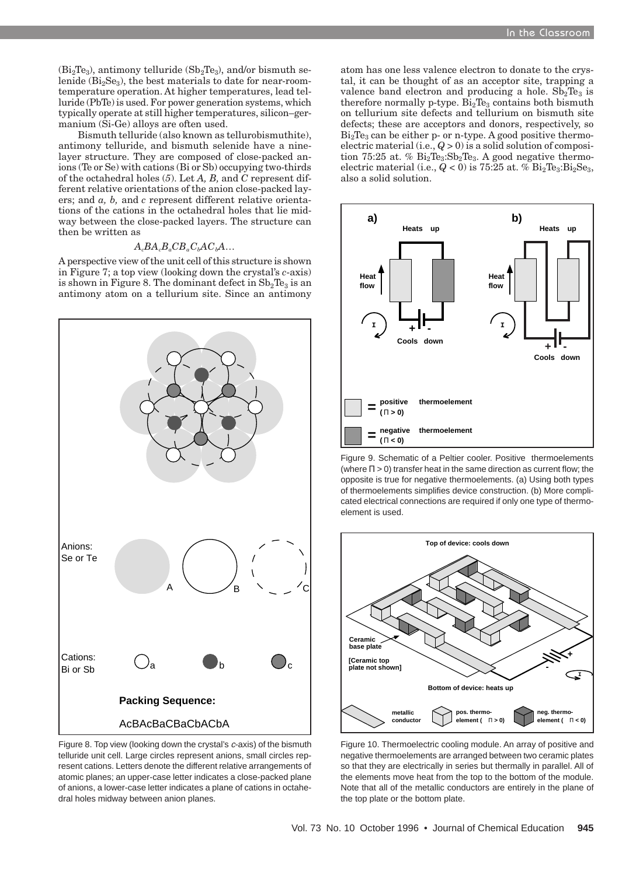$(Bi<sub>2</sub>Te<sub>3</sub>)$ , antimony telluride  $(Sb<sub>2</sub>Te<sub>3</sub>)$ , and/or bismuth selenide  $(Bi<sub>2</sub>Se<sub>3</sub>)$ , the best materials to date for near-roomtemperature operation. At higher temperatures, lead telluride (PbTe) is used. For power generation systems, which typically operate at still higher temperatures, silicon–germanium (Si-Ge) alloys are often used.

Bismuth telluride (also known as tellurobismuthite), antimony telluride, and bismuth selenide have a ninelayer structure. They are composed of close-packed anions (Te or Se) with cations (Bi or Sb) occupying two-thirds of the octahedral holes (*5*). Let *A, B,* and *C* represent different relative orientations of the anion close-packed layers; and *a, b,* and *c* represent different relative orientations of the cations in the octahedral holes that lie midway between the close-packed layers. The structure can then be written as

# $A_cBA_cB_aCB_aC_bAC_bA...$

A perspective view of the unit cell of this structure is shown in Figure 7; a top view (looking down the crystal's *c*-axis) is shown in Figure 8. The dominant defect in  $Sb<sub>2</sub>Te<sub>3</sub>$  is an antimony atom on a tellurium site. Since an antimony



Figure 8. Top view (looking down the crystal's c-axis) of the bismuth telluride unit cell. Large circles represent anions, small circles represent cations. Letters denote the different relative arrangements of atomic planes; an upper-case letter indicates a close-packed plane of anions, a lower-case letter indicates a plane of cations in octahedral holes midway between anion planes.

atom has one less valence electron to donate to the crystal, it can be thought of as an acceptor site, trapping a valence band electron and producing a hole.  $Sb_2Te_3$  is therefore normally p-type.  $Bi<sub>2</sub>Te<sub>3</sub>$  contains both bismuth on tellurium site defects and tellurium on bismuth site defects; these are acceptors and donors, respectively, so  $Bi<sub>2</sub>Te<sub>3</sub>$  can be either p- or n-type. A good positive thermoelectric material (i.e.,  $Q > 0$ ) is a solid solution of composition 75:25 at. %  $Bi_2Te_3:Sb_2Te_3$ . A good negative thermoelectric material (i.e.,  $Q < 0$ ) is 75:25 at. %  $Bi_2Te_3:Bi_2Se_3$ , also a solid solution.



Figure 9. Schematic of a Peltier cooler. Positive thermoelements (where  $\Pi > 0$ ) transfer heat in the same direction as current flow; the opposite is true for negative thermoelements. (a) Using both types of thermoelements simplifies device construction. (b) More complicated electrical connections are required if only one type of thermoelement is used.



Figure 10. Thermoelectric cooling module. An array of positive and negative thermoelements are arranged between two ceramic plates so that they are electrically in series but thermally in parallel. All of the elements move heat from the top to the bottom of the module. Note that all of the metallic conductors are entirely in the plane of the top plate or the bottom plate.